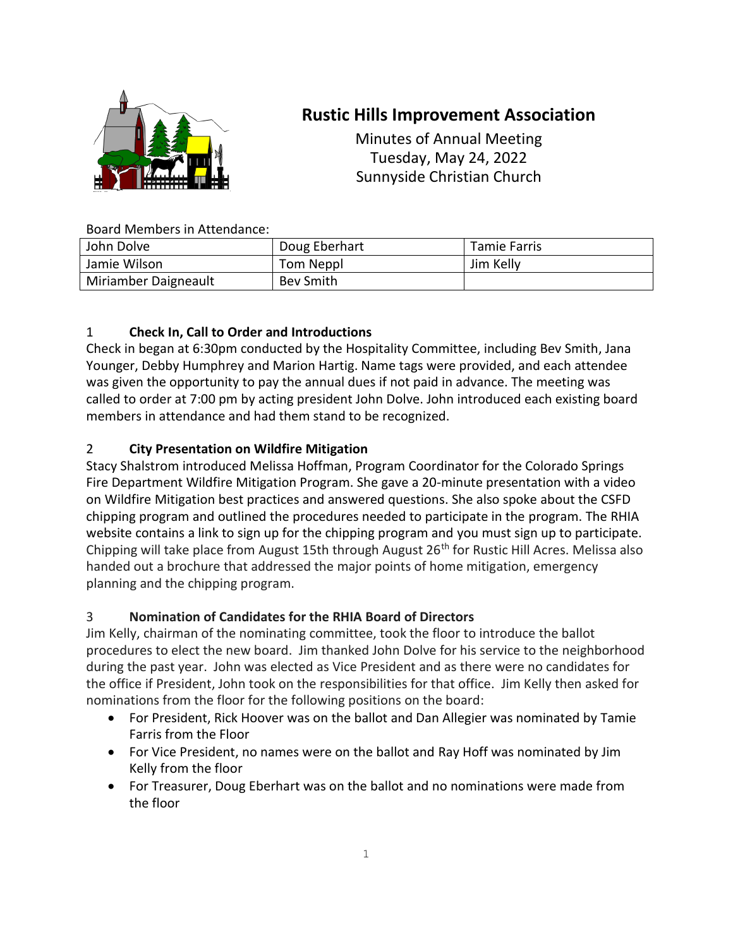

# **Rustic Hills Improvement Association**

Minutes of Annual Meeting Tuesday, May 24, 2022 Sunnyside Christian Church

## Board Members in Attendance:

| John Dolve           | Doug Eberhart | Tamie Farris |
|----------------------|---------------|--------------|
| Jamie Wilson         | Tom Neppl     | Jim Kelly    |
| Miriamber Daigneault | Bev Smith     |              |

## 1 **Check In, Call to Order and Introductions**

Check in began at 6:30pm conducted by the Hospitality Committee, including Bev Smith, Jana Younger, Debby Humphrey and Marion Hartig. Name tags were provided, and each attendee was given the opportunity to pay the annual dues if not paid in advance. The meeting was called to order at 7:00 pm by acting president John Dolve. John introduced each existing board members in attendance and had them stand to be recognized.

## 2 **City Presentation on Wildfire Mitigation**

Stacy Shalstrom introduced Melissa Hoffman, Program Coordinator for the Colorado Springs Fire Department Wildfire Mitigation Program. She gave a 20-minute presentation with a video on Wildfire Mitigation best practices and answered questions. She also spoke about the CSFD chipping program and outlined the procedures needed to participate in the program. The RHIA website contains a link to sign up for the chipping program and you must sign up to participate. Chipping will take place from August 15th through August 26<sup>th</sup> for Rustic Hill Acres. Melissa also handed out a brochure that addressed the major points of home mitigation, emergency planning and the chipping program.

## 3 **Nomination of Candidates for the RHIA Board of Directors**

Jim Kelly, chairman of the nominating committee, took the floor to introduce the ballot procedures to elect the new board. Jim thanked John Dolve for his service to the neighborhood during the past year. John was elected as Vice President and as there were no candidates for the office if President, John took on the responsibilities for that office. Jim Kelly then asked for nominations from the floor for the following positions on the board:

- For President, Rick Hoover was on the ballot and Dan Allegier was nominated by Tamie Farris from the Floor
- For Vice President, no names were on the ballot and Ray Hoff was nominated by Jim Kelly from the floor
- For Treasurer, Doug Eberhart was on the ballot and no nominations were made from the floor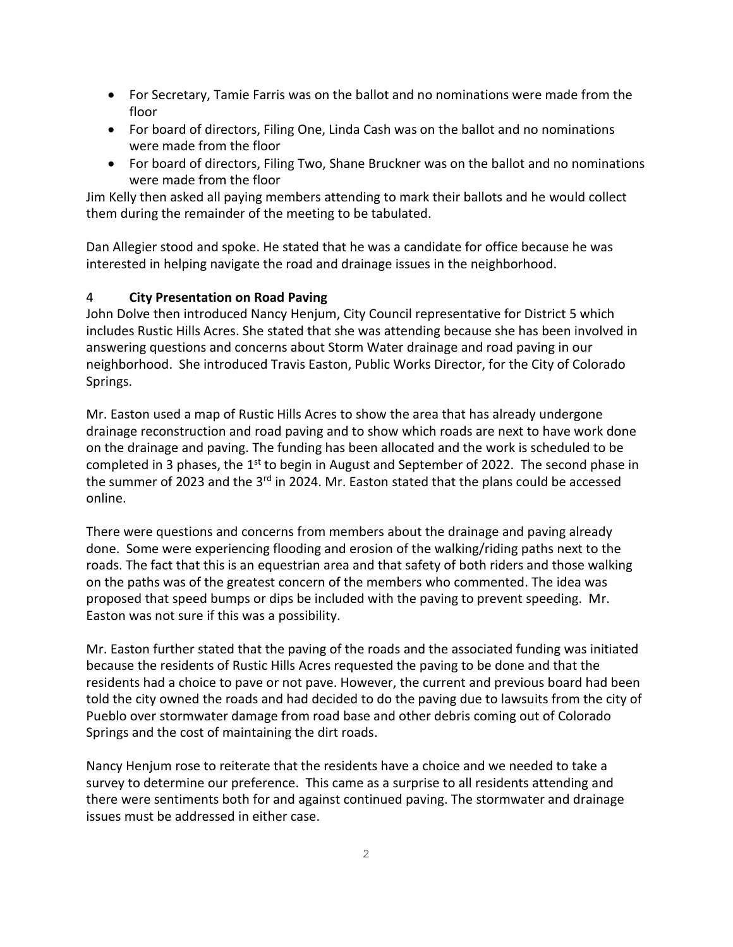- For Secretary, Tamie Farris was on the ballot and no nominations were made from the floor
- For board of directors, Filing One, Linda Cash was on the ballot and no nominations were made from the floor
- For board of directors, Filing Two, Shane Bruckner was on the ballot and no nominations were made from the floor

Jim Kelly then asked all paying members attending to mark their ballots and he would collect them during the remainder of the meeting to be tabulated.

Dan Allegier stood and spoke. He stated that he was a candidate for office because he was interested in helping navigate the road and drainage issues in the neighborhood.

#### 4 **City Presentation on Road Paving**

John Dolve then introduced Nancy Henjum, City Council representative for District 5 which includes Rustic Hills Acres. She stated that she was attending because she has been involved in answering questions and concerns about Storm Water drainage and road paving in our neighborhood. She introduced Travis Easton, Public Works Director, for the City of Colorado Springs.

Mr. Easton used a map of Rustic Hills Acres to show the area that has already undergone drainage reconstruction and road paving and to show which roads are next to have work done on the drainage and paving. The funding has been allocated and the work is scheduled to be completed in 3 phases, the  $1<sup>st</sup>$  to begin in August and September of 2022. The second phase in the summer of 2023 and the  $3<sup>rd</sup>$  in 2024. Mr. Easton stated that the plans could be accessed online.

There were questions and concerns from members about the drainage and paving already done. Some were experiencing flooding and erosion of the walking/riding paths next to the roads. The fact that this is an equestrian area and that safety of both riders and those walking on the paths was of the greatest concern of the members who commented. The idea was proposed that speed bumps or dips be included with the paving to prevent speeding. Mr. Easton was not sure if this was a possibility.

Mr. Easton further stated that the paving of the roads and the associated funding was initiated because the residents of Rustic Hills Acres requested the paving to be done and that the residents had a choice to pave or not pave. However, the current and previous board had been told the city owned the roads and had decided to do the paving due to lawsuits from the city of Pueblo over stormwater damage from road base and other debris coming out of Colorado Springs and the cost of maintaining the dirt roads.

Nancy Henjum rose to reiterate that the residents have a choice and we needed to take a survey to determine our preference. This came as a surprise to all residents attending and there were sentiments both for and against continued paving. The stormwater and drainage issues must be addressed in either case.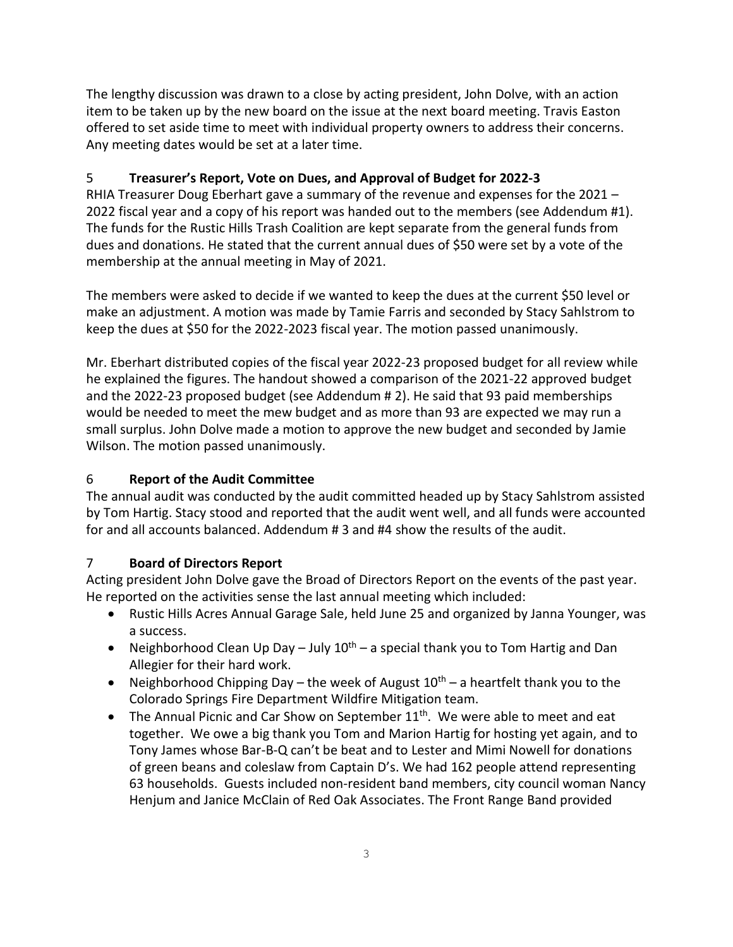The lengthy discussion was drawn to a close by acting president, John Dolve, with an action item to be taken up by the new board on the issue at the next board meeting. Travis Easton offered to set aside time to meet with individual property owners to address their concerns. Any meeting dates would be set at a later time.

## 5 **Treasurer's Report, Vote on Dues, and Approval of Budget for 2022-3**

RHIA Treasurer Doug Eberhart gave a summary of the revenue and expenses for the 2021 – 2022 fiscal year and a copy of his report was handed out to the members (see Addendum #1). The funds for the Rustic Hills Trash Coalition are kept separate from the general funds from dues and donations. He stated that the current annual dues of \$50 were set by a vote of the membership at the annual meeting in May of 2021.

The members were asked to decide if we wanted to keep the dues at the current \$50 level or make an adjustment. A motion was made by Tamie Farris and seconded by Stacy Sahlstrom to keep the dues at \$50 for the 2022-2023 fiscal year. The motion passed unanimously.

Mr. Eberhart distributed copies of the fiscal year 2022-23 proposed budget for all review while he explained the figures. The handout showed a comparison of the 2021-22 approved budget and the 2022-23 proposed budget (see Addendum # 2). He said that 93 paid memberships would be needed to meet the mew budget and as more than 93 are expected we may run a small surplus. John Dolve made a motion to approve the new budget and seconded by Jamie Wilson. The motion passed unanimously.

## 6 **Report of the Audit Committee**

The annual audit was conducted by the audit committed headed up by Stacy Sahlstrom assisted by Tom Hartig. Stacy stood and reported that the audit went well, and all funds were accounted for and all accounts balanced. Addendum # 3 and #4 show the results of the audit.

## 7 **Board of Directors Report**

Acting president John Dolve gave the Broad of Directors Report on the events of the past year. He reported on the activities sense the last annual meeting which included:

- Rustic Hills Acres Annual Garage Sale, held June 25 and organized by Janna Younger, was a success.
- Neighborhood Clean Up Day July  $10^{th}$  a special thank you to Tom Hartig and Dan Allegier for their hard work.
- Neighborhood Chipping Day the week of August  $10^{th}$  a heartfelt thank you to the Colorado Springs Fire Department Wildfire Mitigation team.
- The Annual Picnic and Car Show on September 11<sup>th</sup>. We were able to meet and eat together. We owe a big thank you Tom and Marion Hartig for hosting yet again, and to Tony James whose Bar-B-Q can't be beat and to Lester and Mimi Nowell for donations of green beans and coleslaw from Captain D's. We had 162 people attend representing 63 households. Guests included non-resident band members, city council woman Nancy Henjum and Janice McClain of Red Oak Associates. The Front Range Band provided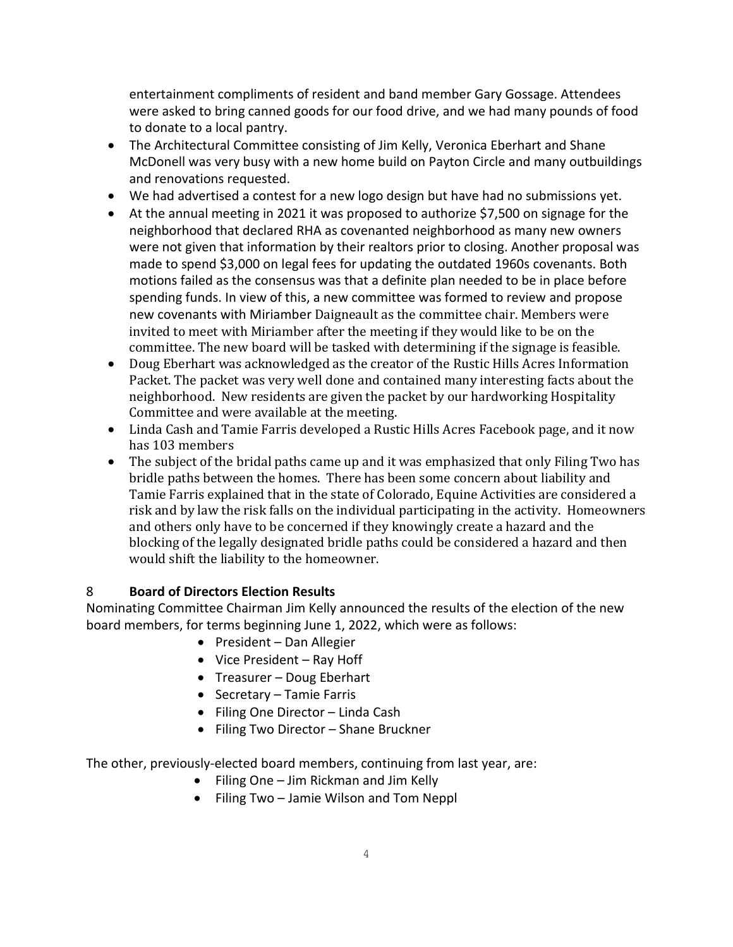entertainment compliments of resident and band member Gary Gossage. Attendees were asked to bring canned goods for our food drive, and we had many pounds of food to donate to a local pantry.

- The Architectural Committee consisting of Jim Kelly, Veronica Eberhart and Shane McDonell was very busy with a new home build on Payton Circle and many outbuildings and renovations requested.
- We had advertised a contest for a new logo design but have had no submissions yet.
- At the annual meeting in 2021 it was proposed to authorize \$7,500 on signage for the neighborhood that declared RHA as covenanted neighborhood as many new owners were not given that information by their realtors prior to closing. Another proposal was made to spend \$3,000 on legal fees for updating the outdated 1960s covenants. Both motions failed as the consensus was that a definite plan needed to be in place before spending funds. In view of this, a new committee was formed to review and propose new covenants with Miriamber Daigneault as the committee chair. Members were invited to meet with Miriamber after the meeting if they would like to be on the committee. The new board will be tasked with determining if the signage is feasible.
- Doug Eberhart was acknowledged as the creator of the Rustic Hills Acres Information Packet. The packet was very well done and contained many interesting facts about the neighborhood. New residents are given the packet by our hardworking Hospitality Committee and were available at the meeting.
- Linda Cash and Tamie Farris developed a Rustic Hills Acres Facebook page, and it now has 103 members
- The subject of the bridal paths came up and it was emphasized that only Filing Two has bridle paths between the homes. There has been some concern about liability and Tamie Farris explained that in the state of Colorado, Equine Activities are considered a risk and by law the risk falls on the individual participating in the activity. Homeowners and others only have to be concerned if they knowingly create a hazard and the blocking of the legally designated bridle paths could be considered a hazard and then would shift the liability to the homeowner.

## 8 **Board of Directors Election Results**

Nominating Committee Chairman Jim Kelly announced the results of the election of the new board members, for terms beginning June 1, 2022, which were as follows:

- President Dan Allegier
- Vice President Ray Hoff
- Treasurer Doug Eberhart
- Secretary Tamie Farris
- Filing One Director Linda Cash
- Filing Two Director Shane Bruckner

The other, previously-elected board members, continuing from last year, are:

- Filing One Jim Rickman and Jim Kelly
- Filing Two Jamie Wilson and Tom Neppl